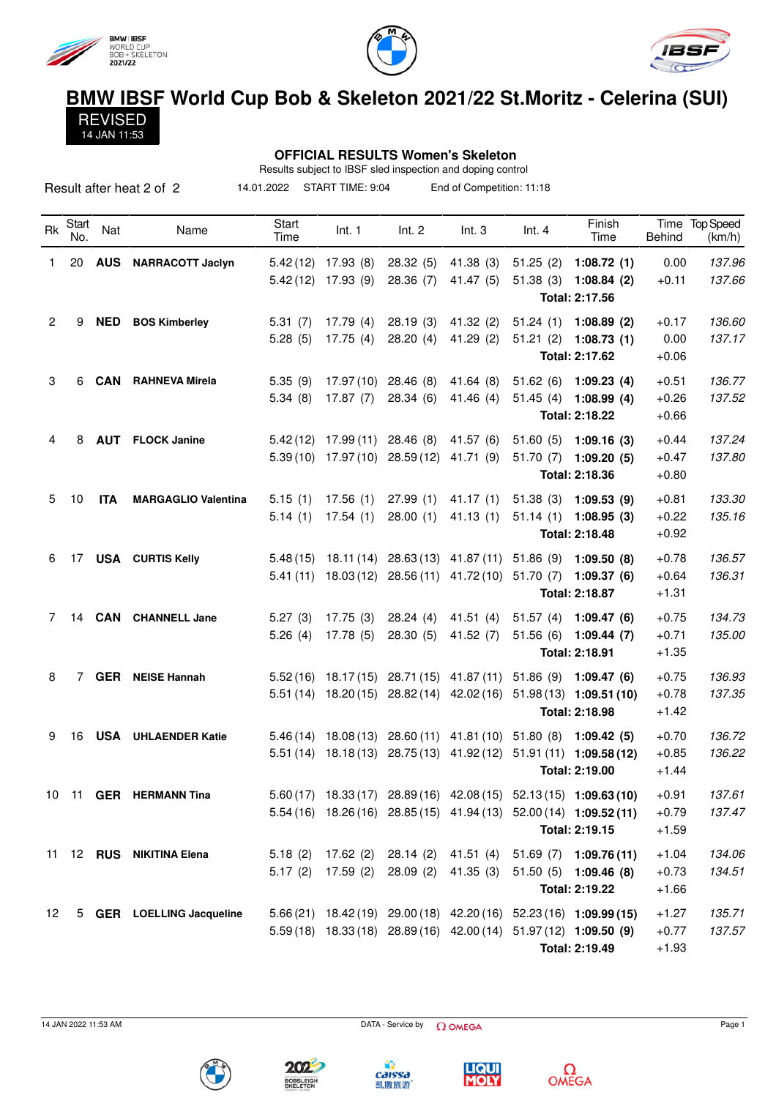

14 JAN 11:53





## **BMW IBSF World Cup Bob & Skeleton 2021/22 St.Moritz - Celerina (SUI)** REVISED

## **OFFICIAL RESULTS Women's Skeleton**

Results subject to IBSF sled inspection and doping control 14.01.2022 START TIME: 9:04 End of Competition: 11:18

|    |              |            | Result after heat 2 of 2   | 14.01.2022    | START TIME: 9:04      |            | End of Competition: 11:18       |          |                                                                    |         |                          |
|----|--------------|------------|----------------------------|---------------|-----------------------|------------|---------------------------------|----------|--------------------------------------------------------------------|---------|--------------------------|
| Rk | Start<br>No. | Nat        | Name                       | Start<br>Time | Int. 1                | Int. 2     | Int.3                           | Int.4    | Finish<br>Time                                                     | Behind  | Time Top Speed<br>(km/h) |
| 1. | 20           | <b>AUS</b> | <b>NARRACOTT Jaclyn</b>    | 5.42(12)      | 17.93 (8)             | 28.32(5)   | 41.38 (3)                       | 51.25(2) | 1:08.72(1)                                                         | 0.00    | 137.96                   |
|    |              |            |                            | 5.42(12)      | 17.93(9)              | 28.36(7)   | 41.47(5)                        |          | 51.38 (3) 1:08.84 (2)<br>Total: 2:17.56                            | $+0.11$ | 137.66                   |
| 2  | 9            | <b>NED</b> | <b>BOS Kimberley</b>       | 5.31(7)       | 17.79(4)              | 28.19(3)   | 41.32(2)                        | 51.24(1) | 1:08.89(2)                                                         | $+0.17$ | 136.60                   |
|    |              |            |                            | 5.28(5)       | 17.75(4)              | 28.20(4)   | 41.29(2)                        |          | $51.21(2)$ 1:08.73 (1)                                             | 0.00    | 137.17                   |
|    |              |            |                            |               |                       |            |                                 |          | Total: 2:17.62                                                     | $+0.06$ |                          |
| 3  | 6            | <b>CAN</b> | <b>RAHNEVA Mirela</b>      | 5.35(9)       | 17.97 (10)            | 28.46(8)   | 41.64(8)                        | 51.62(6) | 1:09.23(4)                                                         | $+0.51$ | 136.77                   |
|    |              |            |                            | 5.34(8)       | 17.87(7)              | 28.34(6)   | 41.46 (4)                       | 51.45(4) | 1:08.99(4)                                                         | $+0.26$ | 137.52                   |
|    |              |            |                            |               |                       |            |                                 |          | Total: 2:18.22                                                     | $+0.66$ |                          |
| 4  | 8            | <b>AUT</b> | <b>FLOCK Janine</b>        | 5.42(12)      | 17.99(11)             | 28.46(8)   | 41.57(6)                        | 51.60(5) | 1:09.16(3)                                                         | $+0.44$ | 137.24                   |
|    |              |            |                            | 5.39(10)      | 17.97 (10)            | 28.59(12)  | 41.71 (9)                       | 51.70(7) | 1:09.20(5)                                                         | $+0.47$ | 137.80                   |
|    |              |            |                            |               |                       |            |                                 |          | Total: 2:18.36                                                     | $+0.80$ |                          |
| 5  | 10           | <b>ITA</b> | <b>MARGAGLIO Valentina</b> | 5.15(1)       | 17.56(1)              | 27.99(1)   | 41.17(1)                        | 51.38(3) | 1:09.53 (9)                                                        | $+0.81$ | 133.30                   |
|    |              |            |                            | 5.14(1)       | 17.54(1)              | 28.00(1)   | 41.13(1)                        | 51.14(1) | 1:08.95(3)                                                         | $+0.22$ | 135.16                   |
|    |              |            |                            |               |                       |            |                                 |          | Total: 2:18.48                                                     | $+0.92$ |                          |
| 6  | 17           |            | <b>USA</b> CURTIS Kelly    | 5.48(15)      | 18.11 (14)            |            | $28.63(13)$ 41.87 (11)          | 51.86(9) | 1:09.50(8)                                                         | $+0.78$ | 136.57                   |
|    |              |            |                            | 5.41(11)      | 18.03 (12)            | 28.56(11)  | 41.72 (10) 51.70 (7)            |          | 1:09.37(6)                                                         | $+0.64$ | 136.31                   |
|    |              |            |                            |               |                       |            |                                 |          | Total: 2:18.87                                                     | $+1.31$ |                          |
| 7  | 14           |            | <b>CAN</b> CHANNELL Jane   | 5.27(3)       | 17.75(3)              | 28.24(4)   | 41.51(4)                        | 51.57(4) | 1:09.47(6)                                                         | $+0.75$ | 134.73                   |
|    |              |            |                            | 5.26(4)       | 17.78(5)              | 28.30(5)   | 41.52 $(7)$                     | 51.56(6) | 1:09.44(7)                                                         | $+0.71$ | 135.00                   |
|    |              |            |                            |               |                       |            |                                 |          | Total: 2:18.91                                                     | $+1.35$ |                          |
| 8  | 7            |            | <b>GER</b> NEISE Hannah    | 5.52(16)      | 18.17 (15)            |            | 28.71 (15) 41.87 (11)           | 51.86(9) | 1:09.47(6)                                                         | $+0.75$ | 136.93                   |
|    |              |            |                            | 5.51(14)      | 18.20(15)             | 28.82 (14) | 42.02 (16)                      |          | $51.98(13)$ 1:09.51 (10)                                           | $+0.78$ | 137.35                   |
|    |              |            |                            |               |                       |            |                                 |          | Total: 2:18.98                                                     | $+1.42$ |                          |
| 9  | 16           |            | <b>USA</b> UHLAENDER Katie |               | $5.46(14)$ 18.08 (13) |            | 28.60 (11) 41.81 (10) 51.80 (8) |          | 1:09.42(5)                                                         | $+0.70$ | 136.72                   |
|    |              |            |                            |               | $5.51(14)$ 18.18(13)  |            |                                 |          | 28.75 (13) 41.92 (12) 51.91 (11) 1:09.58 (12)                      | $+0.85$ | 136.22                   |
|    |              |            |                            |               |                       |            |                                 |          | Total: 2:19.00                                                     | $+1.44$ |                          |
|    |              |            | 10 11 GER HERMANN Tina     |               |                       |            |                                 |          | 5.60 (17) 18.33 (17) 28.89 (16) 42.08 (15) 52.13 (15) 1:09.63 (10) | $+0.91$ | 137.61                   |
|    |              |            |                            |               |                       |            |                                 |          | 5.54 (16) 18.26 (16) 28.85 (15) 41.94 (13) 52.00 (14) 1:09.52 (11) | $+0.79$ | 137.47                   |
|    |              |            |                            |               |                       |            |                                 |          | Total: 2:19.15                                                     | $+1.59$ |                          |
| 11 |              |            | 12 RUS NIKITINA Elena      | 5.18(2)       | 17.62(2)              | 28.14(2)   | 41.51(4)                        |          | $51.69(7)$ 1:09.76(11)                                             | $+1.04$ | 134.06                   |
|    |              |            |                            | 5.17(2)       | 17.59(2)              | 28.09(2)   | 41.35(3)                        |          | $51.50(5)$ 1:09.46 (8)                                             | $+0.73$ | 134.51                   |
|    |              |            |                            |               |                       |            |                                 |          | Total: 2:19.22                                                     | $+1.66$ |                          |
| 12 |              |            | 5 GER LOELLING Jacqueline  |               |                       |            |                                 |          | 5.66 (21) 18.42 (19) 29.00 (18) 42.20 (16) 52.23 (16) 1:09.99 (15) | $+1.27$ | 135.71                   |
|    |              |            |                            |               |                       |            |                                 |          | 5.59 (18) 18.33 (18) 28.89 (16) 42.00 (14) 51.97 (12) 1:09.50 (9)  | $+0.77$ | 137.57                   |
|    |              |            |                            |               |                       |            |                                 |          | Total: 2:19.49                                                     | $+1.93$ |                          |





**BOBSLEIGH**